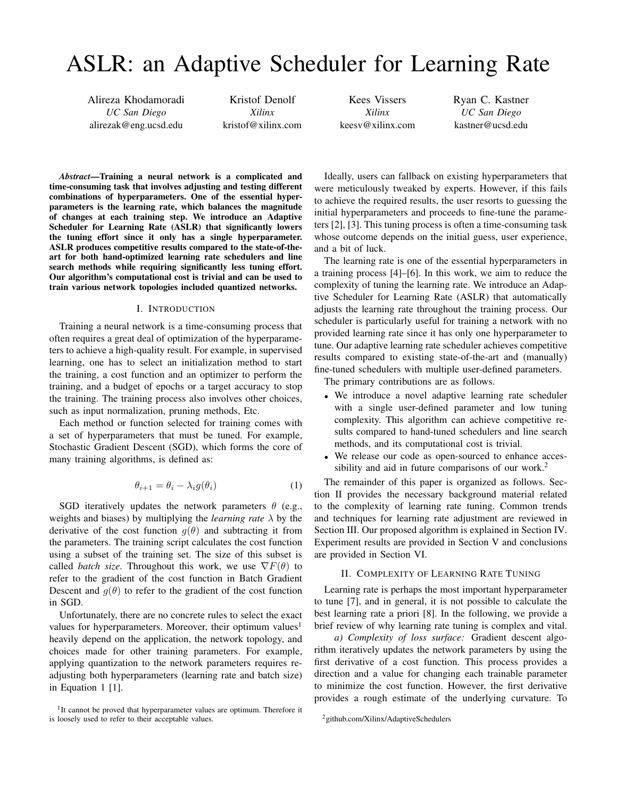# ASLR: an Adaptive Scheduler for Learning Rate

Alireza Khodamoradi *UC San Diego* alirezak@eng.ucsd.edu

Kristof Denolf *Xilinx* kristof@xilinx.com

Kees Vissers *Xilinx* keesv@xilinx.com Ryan C. Kastner *UC San Diego* kastner@ucsd.edu

*Abstract*—Training a neural network is a complicated and time-consuming task that involves adjusting and testing different combinations of hyperparameters. One of the essential hyperparameters is the learning rate, which balances the magnitude of changes at each training step. We introduce an Adaptive Scheduler for Learning Rate (ASLR) that significantly lowers the tuning effort since it only has a single hyperparameter. ASLR produces competitive results compared to the state-of-theart for both hand-optimized learning rate schedulers and line search methods while requiring significantly less tuning effort. Our algorithm's computational cost is trivial and can be used to train various network topologies included quantized networks.

# I. INTRODUCTION

Training a neural network is a time-consuming process that often requires a great deal of optimization of the hyperparameters to achieve a high-quality result. For example, in supervised learning, one has to select an initialization method to start the training, a cost function and an optimizer to perform the training, and a budget of epochs or a target accuracy to stop the training. The training process also involves other choices, such as input normalization, pruning methods, Etc.

Each method or function selected for training comes with a set of hyperparameters that must be tuned. For example, Stochastic Gradient Descent (SGD), which forms the core of many training algorithms, is defined as:

$$
\theta_{i+1} = \theta_i - \lambda_i g(\theta_i) \tag{1}
$$

SGD iteratively updates the network parameters  $\theta$  (e.g., weights and biases) by multiplying the *learning rate* λ by the derivative of the cost function  $g(\theta)$  and subtracting it from the parameters. The training script calculates the cost function using a subset of the training set. The size of this subset is called *batch size*. Throughout this work, we use  $\nabla F(\theta)$  to refer to the gradient of the cost function in Batch Gradient Descent and  $g(\theta)$  to refer to the gradient of the cost function in SGD.

Unfortunately, there are no concrete rules to select the exact values for hyperparameters. Moreover, their optimum values<sup>1</sup> heavily depend on the application, the network topology, and choices made for other training parameters. For example, applying quantization to the network parameters requires readjusting both hyperparameters (learning rate and batch size) in Equation 1 [1].

Ideally, users can fallback on existing hyperparameters that were meticulously tweaked by experts. However, if this fails to achieve the required results, the user resorts to guessing the initial hyperparameters and proceeds to fine-tune the parameters [2], [3]. This tuning process is often a time-consuming task whose outcome depends on the initial guess, user experience, and a bit of luck.

The learning rate is one of the essential hyperparameters in a training process [4]–[6]. In this work, we aim to reduce the complexity of tuning the learning rate. We introduce an Adaptive Scheduler for Learning Rate (ASLR) that automatically adjusts the learning rate throughout the training process. Our scheduler is particularly useful for training a network with no provided learning rate since it has only one hyperparameter to tune. Our adaptive learning rate scheduler achieves competitive results compared to existing state-of-the-art and (manually) fine-tuned schedulers with multiple user-defined parameters.

The primary contributions are as follows.

- We introduce a novel adaptive learning rate scheduler with a single user-defined parameter and low tuning complexity. This algorithm can achieve competitive results compared to hand-tuned schedulers and line search methods, and its computational cost is trivial.
- We release our code as open-sourced to enhance accessibility and aid in future comparisons of our work.<sup>2</sup>

The remainder of this paper is organized as follows. Section II provides the necessary background material related to the complexity of learning rate tuning. Common trends and techniques for learning rate adjustment are reviewed in Section III. Our proposed algorithm is explained in Section IV. Experiment results are provided in Section V and conclusions are provided in Section VI.

#### II. COMPLEXITY OF LEARNING RATE TUNING

Learning rate is perhaps the most important hyperparameter to tune [7], and in general, it is not possible to calculate the best learning rate a priori [8]. In the following, we provide a brief review of why learning rate tuning is complex and vital.

*a) Complexity of loss surface:* Gradient descent algorithm iteratively updates the network parameters by using the first derivative of a cost function. This process provides a direction and a value for changing each trainable parameter to minimize the cost function. However, the first derivative provides a rough estimate of the underlying curvature. To

<sup>&</sup>lt;sup>1</sup>It cannot be proved that hyperparameter values are optimum. Therefore it is loosely used to refer to their acceptable values.

<sup>2</sup>github.com/Xilinx/AdaptiveSchedulers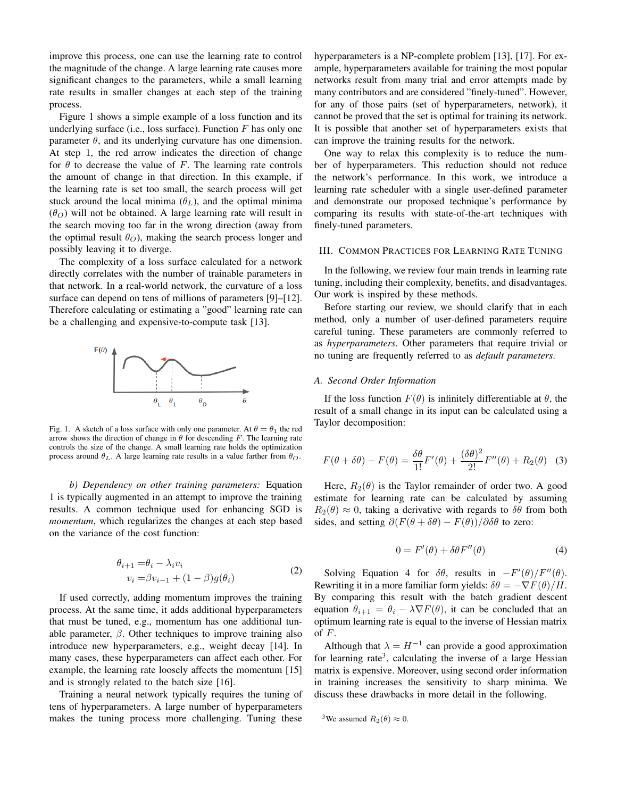improve this process, one can use the learning rate to control the magnitude of the change. A large learning rate causes more significant changes to the parameters, while a small learning rate results in smaller changes at each step of the training process.

Figure 1 shows a simple example of a loss function and its underlying surface (i.e., loss surface). Function  $F$  has only one parameter  $\theta$ , and its underlying curvature has one dimension. At step 1, the red arrow indicates the direction of change for  $\theta$  to decrease the value of F. The learning rate controls the amount of change in that direction. In this example, if the learning rate is set too small, the search process will get stuck around the local minima  $(\theta_L)$ , and the optimal minima  $(\theta_{\Omega})$  will not be obtained. A large learning rate will result in the search moving too far in the wrong direction (away from the optimal result  $\theta_O$ ), making the search process longer and possibly leaving it to diverge.

The complexity of a loss surface calculated for a network directly correlates with the number of trainable parameters in that network. In a real-world network, the curvature of a loss surface can depend on tens of millions of parameters [9]–[12]. Therefore calculating or estimating a "good" learning rate can be a challenging and expensive-to-compute task [13].



Fig. 1. A sketch of a loss surface with only one parameter. At  $\theta = \theta_1$  the red arrow shows the direction of change in  $\theta$  for descending F. The learning rate controls the size of the change. A small learning rate holds the optimization process around  $\theta_L$ . A large learning rate results in a value farther from  $\theta_O$ .

*b) Dependency on other training parameters:* Equation 1 is typically augmented in an attempt to improve the training results. A common technique used for enhancing SGD is *momentum*, which regularizes the changes at each step based on the variance of the cost function:

$$
\theta_{i+1} = \theta_i - \lambda_i v_i
$$
  

$$
v_i = \beta v_{i-1} + (1 - \beta)g(\theta_i)
$$
 (2)

If used correctly, adding momentum improves the training process. At the same time, it adds additional hyperparameters that must be tuned, e.g., momentum has one additional tunable parameter,  $\beta$ . Other techniques to improve training also introduce new hyperparameters, e.g., weight decay [14]. In many cases, these hyperparameters can affect each other. For example, the learning rate loosely affects the momentum [15] and is strongly related to the batch size [16].

Training a neural network typically requires the tuning of tens of hyperparameters. A large number of hyperparameters makes the tuning process more challenging. Tuning these hyperparameters is a NP-complete problem [13], [17]. For example, hyperparameters available for training the most popular networks result from many trial and error attempts made by many contributors and are considered "finely-tuned". However, for any of those pairs (set of hyperparameters, network), it cannot be proved that the set is optimal for training its network. It is possible that another set of hyperparameters exists that can improve the training results for the network.

One way to relax this complexity is to reduce the number of hyperparameters. This reduction should not reduce the network's performance. In this work, we introduce a learning rate scheduler with a single user-defined parameter and demonstrate our proposed technique's performance by comparing its results with state-of-the-art techniques with finely-tuned parameters.

# III. COMMON PRACTICES FOR LEARNING RATE TUNING

In the following, we review four main trends in learning rate tuning, including their complexity, benefits, and disadvantages. Our work is inspired by these methods.

Before starting our review, we should clarify that in each method, only a number of user-defined parameters require careful tuning. These parameters are commonly referred to as *hyperparameters*. Other parameters that require trivial or no tuning are frequently referred to as *default parameters*.

# *A. Second Order Information*

If the loss function  $F(\theta)$  is infinitely differentiable at  $\theta$ , the result of a small change in its input can be calculated using a Taylor decomposition:

$$
F(\theta + \delta\theta) - F(\theta) = \frac{\delta\theta}{1!}F'(\theta) + \frac{(\delta\theta)^2}{2!}F''(\theta) + R_2(\theta)
$$
 (3)

Here,  $R_2(\theta)$  is the Taylor remainder of order two. A good estimate for learning rate can be calculated by assuming  $R_2(\theta) \approx 0$ , taking a derivative with regards to  $\delta\theta$  from both sides, and setting  $\partial (F(\theta + \delta \theta) - F(\theta))/\partial \delta \theta$  to zero:

$$
0 = F'(\theta) + \delta \theta F''(\theta) \tag{4}
$$

Solving Equation 4 for  $\delta\theta$ , results in  $-F'(\theta)/F''(\theta)$ . Rewriting it in a more familiar form yields:  $\delta\theta = -\nabla F(\theta)/H$ . By comparing this result with the batch gradient descent equation  $\theta_{i+1} = \theta_i - \lambda \nabla F(\theta)$ , it can be concluded that an optimum learning rate is equal to the inverse of Hessian matrix of  $F$ .

Although that  $\lambda = H^{-1}$  can provide a good approximation for learning rate<sup>3</sup>, calculating the inverse of a large Hessian matrix is expensive. Moreover, using second order information in training increases the sensitivity to sharp minima. We discuss these drawbacks in more detail in the following.

<sup>3</sup>We assumed 
$$
R_2(\theta) \approx 0
$$
.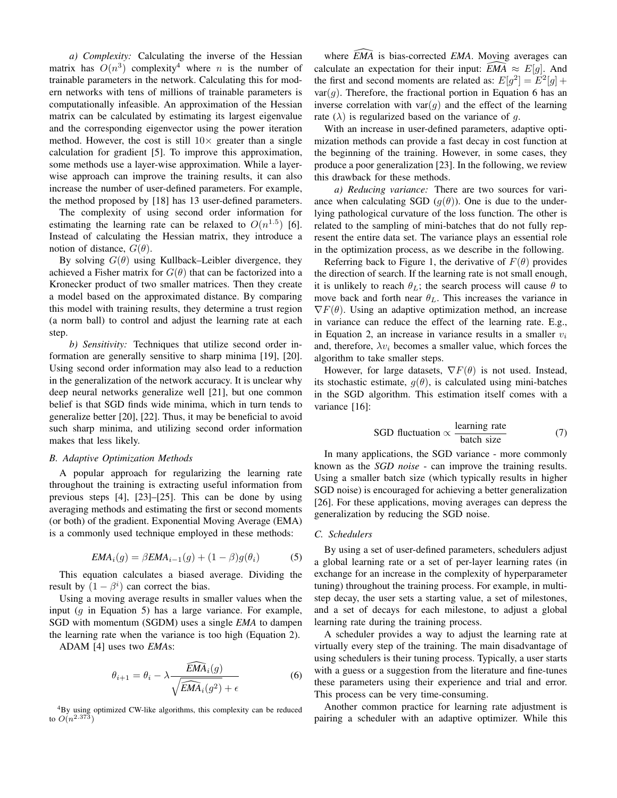*a) Complexity:* Calculating the inverse of the Hessian matrix has  $O(n^3)$  complexity<sup>4</sup> where *n* is the number of trainable parameters in the network. Calculating this for modern networks with tens of millions of trainable parameters is computationally infeasible. An approximation of the Hessian matrix can be calculated by estimating its largest eigenvalue and the corresponding eigenvector using the power iteration method. However, the cost is still  $10\times$  greater than a single calculation for gradient [5]. To improve this approximation, some methods use a layer-wise approximation. While a layerwise approach can improve the training results, it can also increase the number of user-defined parameters. For example, the method proposed by [18] has 13 user-defined parameters.

The complexity of using second order information for estimating the learning rate can be relaxed to  $O(n^{1.5})$  [6]. Instead of calculating the Hessian matrix, they introduce a notion of distance,  $G(\theta)$ .

By solving  $G(\theta)$  using Kullback–Leibler divergence, they achieved a Fisher matrix for  $G(\theta)$  that can be factorized into a Kronecker product of two smaller matrices. Then they create a model based on the approximated distance. By comparing this model with training results, they determine a trust region (a norm ball) to control and adjust the learning rate at each step.

*b) Sensitivity:* Techniques that utilize second order information are generally sensitive to sharp minima [19], [20]. Using second order information may also lead to a reduction in the generalization of the network accuracy. It is unclear why deep neural networks generalize well [21], but one common belief is that SGD finds wide minima, which in turn tends to generalize better [20], [22]. Thus, it may be beneficial to avoid such sharp minima, and utilizing second order information makes that less likely.

#### *B. Adaptive Optimization Methods*

A popular approach for regularizing the learning rate throughout the training is extracting useful information from previous steps [4], [23]–[25]. This can be done by using averaging methods and estimating the first or second moments (or both) of the gradient. Exponential Moving Average (EMA) is a commonly used technique employed in these methods:

$$
EMA_i(g) = \beta EMA_{i-1}(g) + (1 - \beta)g(\theta_i)
$$
 (5)

This equation calculates a biased average. Dividing the result by  $(1 - \beta^i)$  can correct the bias.

Using a moving average results in smaller values when the input  $(g$  in Equation 5) has a large variance. For example, SGD with momentum (SGDM) uses a single *EMA* to dampen the learning rate when the variance is too high (Equation 2).

ADAM [4] uses two *EMA*s:

$$
\theta_{i+1} = \theta_i - \lambda \frac{\widehat{EMA}_i(g)}{\sqrt{\widehat{EMA}_i(g^2)} + \epsilon} \tag{6}
$$

<sup>4</sup>By using optimized CW-like algorithms, this complexity can be reduced to  $O(n^{2.373})$ 

where  $\overline{EMA}$  is bias-corrected *EMA*. Moving averages can calculate an expectation for their input:  $\overline{EMA} \approx E[q]$ . And the first and second moments are related as:  $E[g^2] = E^2[g] +$  $var(q)$ . Therefore, the fractional portion in Equation 6 has an inverse correlation with  $var(g)$  and the effect of the learning rate  $(\lambda)$  is regularized based on the variance of g.

With an increase in user-defined parameters, adaptive optimization methods can provide a fast decay in cost function at the beginning of the training. However, in some cases, they produce a poor generalization [23]. In the following, we review this drawback for these methods.

*a) Reducing variance:* There are two sources for variance when calculating SGD  $(q(\theta))$ . One is due to the underlying pathological curvature of the loss function. The other is related to the sampling of mini-batches that do not fully represent the entire data set. The variance plays an essential role in the optimization process, as we describe in the following.

Referring back to Figure 1, the derivative of  $F(\theta)$  provides the direction of search. If the learning rate is not small enough, it is unlikely to reach  $\theta_L$ ; the search process will cause  $\theta$  to move back and forth near  $\theta_L$ . This increases the variance in  $\nabla F(\theta)$ . Using an adaptive optimization method, an increase in variance can reduce the effect of the learning rate. E.g., in Equation 2, an increase in variance results in a smaller  $v_i$ and, therefore,  $\lambda v_i$  becomes a smaller value, which forces the algorithm to take smaller steps.

However, for large datasets,  $\nabla F(\theta)$  is not used. Instead, its stochastic estimate,  $g(\theta)$ , is calculated using mini-batches in the SGD algorithm. This estimation itself comes with a variance [16]:

SGD fluctuation 
$$
\propto \frac{\text{learning rate}}{\text{batch size}}
$$
 (7)

In many applications, the SGD variance - more commonly known as the *SGD noise* - can improve the training results. Using a smaller batch size (which typically results in higher SGD noise) is encouraged for achieving a better generalization [26]. For these applications, moving averages can depress the generalization by reducing the SGD noise.

#### *C. Schedulers*

By using a set of user-defined parameters, schedulers adjust a global learning rate or a set of per-layer learning rates (in exchange for an increase in the complexity of hyperparameter tuning) throughout the training process. For example, in multistep decay, the user sets a starting value, a set of milestones, and a set of decays for each milestone, to adjust a global learning rate during the training process.

A scheduler provides a way to adjust the learning rate at virtually every step of the training. The main disadvantage of using schedulers is their tuning process. Typically, a user starts with a guess or a suggestion from the literature and fine-tunes these parameters using their experience and trial and error. This process can be very time-consuming.

Another common practice for learning rate adjustment is pairing a scheduler with an adaptive optimizer. While this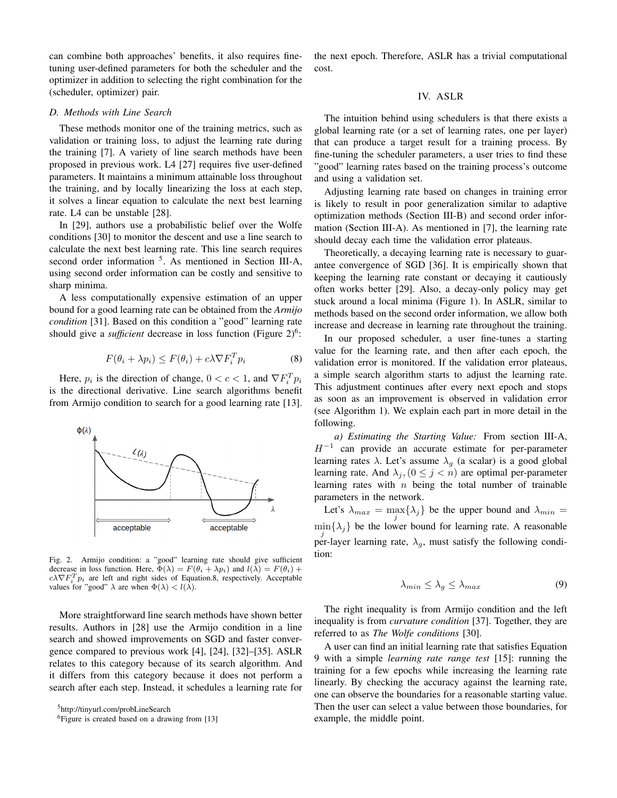can combine both approaches' benefits, it also requires finetuning user-defined parameters for both the scheduler and the optimizer in addition to selecting the right combination for the (scheduler, optimizer) pair.

## *D. Methods with Line Search*

These methods monitor one of the training metrics, such as validation or training loss, to adjust the learning rate during the training [7]. A variety of line search methods have been proposed in previous work. L4 [27] requires five user-defined parameters. It maintains a minimum attainable loss throughout the training, and by locally linearizing the loss at each step, it solves a linear equation to calculate the next best learning rate. L4 can be unstable [28].

In [29], authors use a probabilistic belief over the Wolfe conditions [30] to monitor the descent and use a line search to calculate the next best learning rate. This line search requires second order information <sup>5</sup>. As mentioned in Section III-A, using second order information can be costly and sensitive to sharp minima.

A less computationally expensive estimation of an upper bound for a good learning rate can be obtained from the *Armijo condition* [31]. Based on this condition a "good" learning rate should give a *sufficient* decrease in loss function (Figure 2)<sup>6</sup>:

$$
F(\theta_i + \lambda p_i) \le F(\theta_i) + c\lambda \nabla F_i^T p_i \tag{8}
$$

Here,  $p_i$  is the direction of change,  $0 < c < 1$ , and  $\nabla F_i^T p_i$ is the directional derivative. Line search algorithms benefit from Armijo condition to search for a good learning rate [13].



Fig. 2. Armijo condition: a "good" learning rate should give sufficient decrease in loss function. Here,  $\Phi(\lambda) = F(\theta_i + \lambda p_i)$  and  $l(\lambda) = F(\theta_i) +$  $c\lambda \nabla F_i^T p_i$  are left and right sides of Equation.8, respectively. Acceptable values for "good"  $\lambda$  are when  $\Phi(\lambda) < l(\lambda)$ .

More straightforward line search methods have shown better results. Authors in [28] use the Armijo condition in a line search and showed improvements on SGD and faster convergence compared to previous work [4], [24], [32]–[35]. ASLR relates to this category because of its search algorithm. And it differs from this category because it does not perform a search after each step. Instead, it schedules a learning rate for

the next epoch. Therefore, ASLR has a trivial computational cost.

# IV. ASLR

The intuition behind using schedulers is that there exists a global learning rate (or a set of learning rates, one per layer) that can produce a target result for a training process. By fine-tuning the scheduler parameters, a user tries to find these "good" learning rates based on the training process's outcome and using a validation set.

Adjusting learning rate based on changes in training error is likely to result in poor generalization similar to adaptive optimization methods (Section III-B) and second order information (Section III-A). As mentioned in [7], the learning rate should decay each time the validation error plateaus.

Theoretically, a decaying learning rate is necessary to guarantee convergence of SGD [36]. It is empirically shown that keeping the learning rate constant or decaying it cautiously often works better [29]. Also, a decay-only policy may get stuck around a local minima (Figure 1). In ASLR, similar to methods based on the second order information, we allow both increase and decrease in learning rate throughout the training.

In our proposed scheduler, a user fine-tunes a starting value for the learning rate, and then after each epoch, the validation error is monitored. If the validation error plateaus, a simple search algorithm starts to adjust the learning rate. This adjustment continues after every next epoch and stops as soon as an improvement is observed in validation error (see Algorithm 1). We explain each part in more detail in the following.

*a) Estimating the Starting Value:* From section III-A,  $H^{-1}$  can provide an accurate estimate for per-parameter learning rates  $\lambda$ . Let's assume  $\lambda_q$  (a scalar) is a good global learning rate. And  $\lambda_j$ ,  $(0 \le j < n)$  are optimal per-parameter learning rates with  $n$  being the total number of trainable parameters in the network.

Let's  $\lambda_{max} = \max_j {\lambda_j}$  be the upper bound and  $\lambda_{min} =$  $\min_j {\lambda_j}$  be the lower bound for learning rate. A reasonable per-layer learning rate,  $\lambda_q$ , must satisfy the following condition:

$$
\lambda_{\min} \le \lambda_g \le \lambda_{\max} \tag{9}
$$

The right inequality is from Armijo condition and the left inequality is from *curvature condition* [37]. Together, they are referred to as *The Wolfe conditions* [30].

A user can find an initial learning rate that satisfies Equation 9 with a simple *learning rate range test* [15]: running the training for a few epochs while increasing the learning rate linearly. By checking the accuracy against the learning rate, one can observe the boundaries for a reasonable starting value. Then the user can select a value between those boundaries, for example, the middle point.

<sup>5</sup>http://tinyurl.com/probLineSearch

<sup>&</sup>lt;sup>6</sup>Figure is created based on a drawing from [13]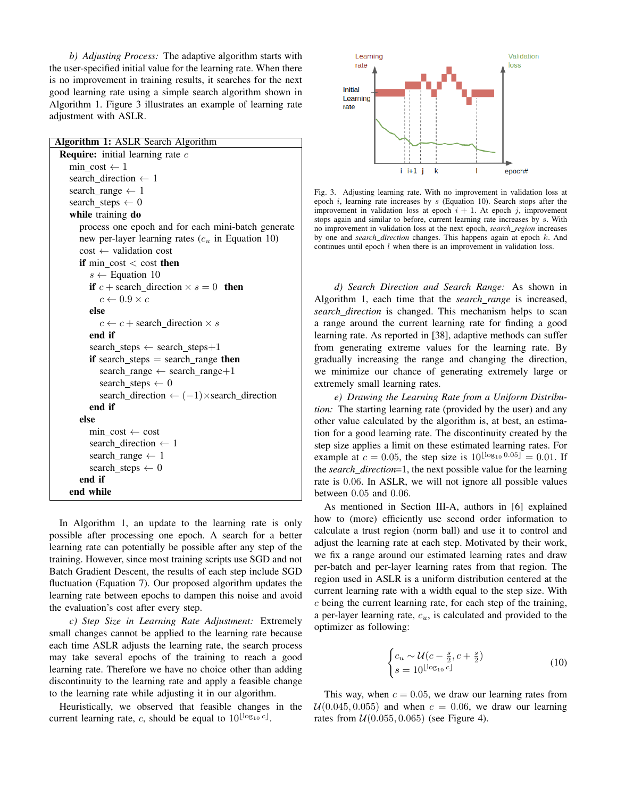*b) Adjusting Process:* The adaptive algorithm starts with the user-specified initial value for the learning rate. When there is no improvement in training results, it searches for the next good learning rate using a simple search algorithm shown in Algorithm 1. Figure 3 illustrates an example of learning rate adjustment with ASLR.

| Algorithm 1: ASLR Search Algorithm                         |
|------------------------------------------------------------|
| <b>Require:</b> initial learning rate $c$                  |
| min cost $\leftarrow$ 1                                    |
| search direction $\leftarrow$ 1                            |
| search_range $\leftarrow$ 1                                |
| search_steps $\leftarrow 0$                                |
| while training do                                          |
| process one epoch and for each mini-batch generate         |
| new per-layer learning rates $(c_u$ in Equation 10)        |
| $cost \leftarrow$ validation cost                          |
| if min cost $\lt$ cost then                                |
| $s \leftarrow$ Equation 10                                 |
| if $c$ + search_direction $\times s = 0$ then              |
| $c \leftarrow 0.9 \times c$                                |
| else                                                       |
| $c \leftarrow c$ + search direction $\times s$             |
| end if                                                     |
| search_steps $\leftarrow$ search_steps+1                   |
| if search_steps $=$ search_range then                      |
| search_range $\leftarrow$ search_range+1                   |
| search_steps $\leftarrow 0$                                |
| search_direction $\leftarrow (-1) \times$ search_direction |
| end if                                                     |
| else                                                       |
| $min \ \cos t \leftarrow \ \cos t$                         |
| search_direction $\leftarrow$ 1                            |
| search_range $\leftarrow$ 1                                |
| search_steps $\leftarrow 0$                                |
| end if                                                     |
| end while                                                  |

In Algorithm 1, an update to the learning rate is only possible after processing one epoch. A search for a better learning rate can potentially be possible after any step of the training. However, since most training scripts use SGD and not Batch Gradient Descent, the results of each step include SGD fluctuation (Equation 7). Our proposed algorithm updates the learning rate between epochs to dampen this noise and avoid the evaluation's cost after every step.

*c) Step Size in Learning Rate Adjustment:* Extremely small changes cannot be applied to the learning rate because each time ASLR adjusts the learning rate, the search process may take several epochs of the training to reach a good learning rate. Therefore we have no choice other than adding discontinuity to the learning rate and apply a feasible change to the learning rate while adjusting it in our algorithm.

Heuristically, we observed that feasible changes in the current learning rate, c, should be equal to  $10^{\lfloor \log_{10} c \rfloor}$ .



Fig. 3. Adjusting learning rate. With no improvement in validation loss at epoch  $i$ , learning rate increases by  $s$  (Equation 10). Search stops after the improvement in validation loss at epoch  $i + 1$ . At epoch j, improvement stops again and similar to before, current learning rate increases by s. With no improvement in validation loss at the next epoch, *search region* increases by one and *search direction* changes. This happens again at epoch k. And continues until epoch  $l$  when there is an improvement in validation loss.

*d) Search Direction and Search Range:* As shown in Algorithm 1, each time that the *search range* is increased, *search direction* is changed. This mechanism helps to scan a range around the current learning rate for finding a good learning rate. As reported in [38], adaptive methods can suffer from generating extreme values for the learning rate. By gradually increasing the range and changing the direction, we minimize our chance of generating extremely large or extremely small learning rates.

*e) Drawing the Learning Rate from a Uniform Distribution:* The starting learning rate (provided by the user) and any other value calculated by the algorithm is, at best, an estimation for a good learning rate. The discontinuity created by the step size applies a limit on these estimated learning rates. For example at  $c = 0.05$ , the step size is  $10^{\lfloor \log_{10} 0.05 \rfloor} = 0.01$ . If the *search direction*=1, the next possible value for the learning rate is 0.06. In ASLR, we will not ignore all possible values between 0.05 and 0.06.

As mentioned in Section III-A, authors in [6] explained how to (more) efficiently use second order information to calculate a trust region (norm ball) and use it to control and adjust the learning rate at each step. Motivated by their work, we fix a range around our estimated learning rates and draw per-batch and per-layer learning rates from that region. The region used in ASLR is a uniform distribution centered at the current learning rate with a width equal to the step size. With  $c$  being the current learning rate, for each step of the training, a per-layer learning rate,  $c<sub>u</sub>$ , is calculated and provided to the optimizer as following:

$$
\begin{cases} c_u \sim \mathcal{U}(c - \frac{s}{2}, c + \frac{s}{2}) \\ s = 10^{\lfloor \log_{10} c \rfloor} \end{cases}
$$
 (10)

This way, when  $c = 0.05$ , we draw our learning rates from  $U(0.045, 0.055)$  and when  $c = 0.06$ , we draw our learning rates from  $U(0.055, 0.065)$  (see Figure 4).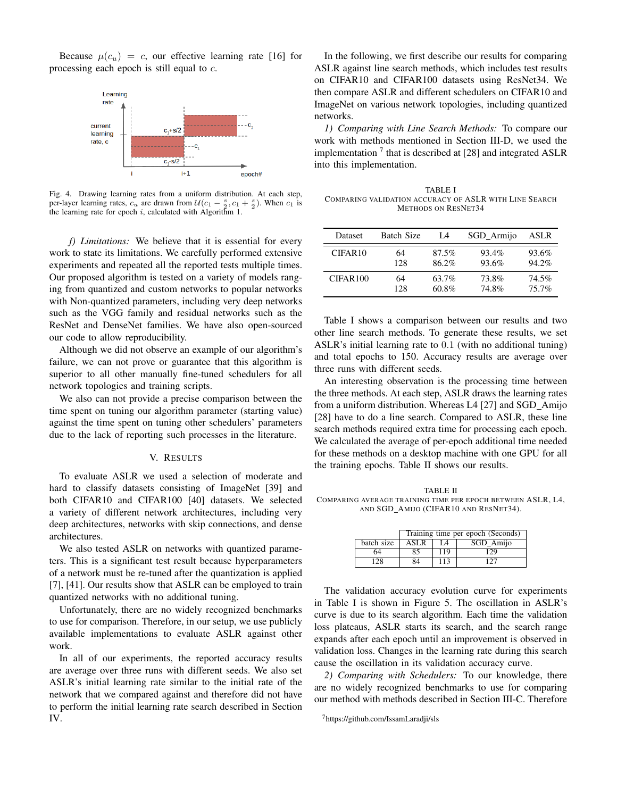Because  $\mu(c_u) = c$ , our effective learning rate [16] for processing each epoch is still equal to c.



Fig. 4. Drawing learning rates from a uniform distribution. At each step, per-layer learning rates,  $c_u$  are drawn from  $U(c_1 - \frac{s}{2}, c_1 + \frac{s}{2})$ . When  $c_1$  is the learning rate for epoch  $i$ , calculated with Algorithm 1.

*f) Limitations:* We believe that it is essential for every work to state its limitations. We carefully performed extensive experiments and repeated all the reported tests multiple times. Our proposed algorithm is tested on a variety of models ranging from quantized and custom networks to popular networks with Non-quantized parameters, including very deep networks such as the VGG family and residual networks such as the ResNet and DenseNet families. We have also open-sourced our code to allow reproducibility.

Although we did not observe an example of our algorithm's failure, we can not prove or guarantee that this algorithm is superior to all other manually fine-tuned schedulers for all network topologies and training scripts.

We also can not provide a precise comparison between the time spent on tuning our algorithm parameter (starting value) against the time spent on tuning other schedulers' parameters due to the lack of reporting such processes in the literature.

## V. RESULTS

To evaluate ASLR we used a selection of moderate and hard to classify datasets consisting of ImageNet [39] and both CIFAR10 and CIFAR100 [40] datasets. We selected a variety of different network architectures, including very deep architectures, networks with skip connections, and dense architectures.

We also tested ASLR on networks with quantized parameters. This is a significant test result because hyperparameters of a network must be re-tuned after the quantization is applied [7], [41]. Our results show that ASLR can be employed to train quantized networks with no additional tuning.

Unfortunately, there are no widely recognized benchmarks to use for comparison. Therefore, in our setup, we use publicly available implementations to evaluate ASLR against other work.

In all of our experiments, the reported accuracy results are average over three runs with different seeds. We also set ASLR's initial learning rate similar to the initial rate of the network that we compared against and therefore did not have to perform the initial learning rate search described in Section IV.

In the following, we first describe our results for comparing ASLR against line search methods, which includes test results on CIFAR10 and CIFAR100 datasets using ResNet34. We then compare ASLR and different schedulers on CIFAR10 and ImageNet on various network topologies, including quantized networks.

*1) Comparing with Line Search Methods:* To compare our work with methods mentioned in Section III-D, we used the implementation<sup>7</sup> that is described at [28] and integrated ASLR into this implementation.

TABLE I COMPARING VALIDATION ACCURACY OF ASLR WITH LINE SEARCH METHODS ON RESNET34

| Dataset             | <b>Batch Size</b> | I A   | SGD Armijo | ASLR     |
|---------------------|-------------------|-------|------------|----------|
| CIFAR <sub>10</sub> | 64                | 87.5% | 93.4%      | 93.6%    |
|                     | 128               | 86.2% | 93.6%      | $94.2\%$ |
| CIFAR100            | 64                | 63.7% | 73.8%      | 74.5%    |
|                     | 128               | 60.8% | 74.8%      | 75.7%    |

Table I shows a comparison between our results and two other line search methods. To generate these results, we set ASLR's initial learning rate to 0.1 (with no additional tuning) and total epochs to 150. Accuracy results are average over three runs with different seeds.

An interesting observation is the processing time between the three methods. At each step, ASLR draws the learning rates from a uniform distribution. Whereas L4 [27] and SGD Amijo [28] have to do a line search. Compared to ASLR, these line search methods required extra time for processing each epoch. We calculated the average of per-epoch additional time needed for these methods on a desktop machine with one GPU for all the training epochs. Table II shows our results.

TABLE II COMPARING AVERAGE TRAINING TIME PER EPOCH BETWEEN ASLR, L4, AND SGD\_AMIJO (CIFAR10 AND RESNET34).

|            | Training time per epoch (Seconds) |     |           |  |
|------------|-----------------------------------|-----|-----------|--|
| batch size | <b>ASLR</b>                       | 14  | SGD Amijo |  |
| 64         | 85                                | 119 | 129       |  |
| 128        | 84                                | 113 | 127       |  |

The validation accuracy evolution curve for experiments in Table I is shown in Figure 5. The oscillation in ASLR's curve is due to its search algorithm. Each time the validation loss plateaus, ASLR starts its search, and the search range expands after each epoch until an improvement is observed in validation loss. Changes in the learning rate during this search cause the oscillation in its validation accuracy curve.

*2) Comparing with Schedulers:* To our knowledge, there are no widely recognized benchmarks to use for comparing our method with methods described in Section III-C. Therefore

<sup>7</sup>https://github.com/IssamLaradji/sls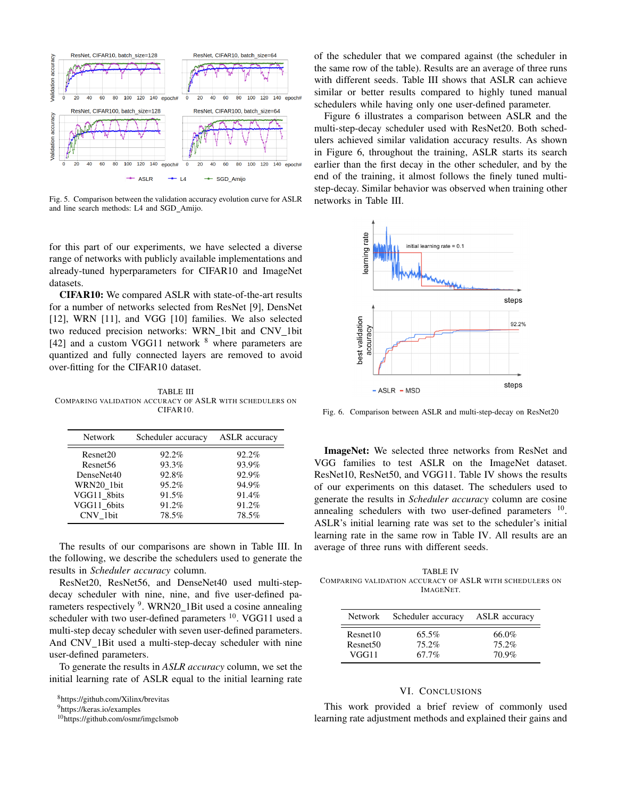

Fig. 5. Comparison between the validation accuracy evolution curve for ASLR and line search methods: L4 and SGD Amijo.

for this part of our experiments, we have selected a diverse range of networks with publicly available implementations and already-tuned hyperparameters for CIFAR10 and ImageNet datasets.

CIFAR10: We compared ASLR with state-of-the-art results for a number of networks selected from ResNet [9], DensNet [12], WRN [11], and VGG [10] families. We also selected two reduced precision networks: WRN\_1bit and CNV\_1bit [42] and a custom VGG11 network  $8$  where parameters are quantized and fully connected layers are removed to avoid over-fitting for the CIFAR10 dataset.

TABLE III COMPARING VALIDATION ACCURACY OF ASLR WITH SCHEDULERS ON CIFAR10.

| <b>Network</b>       | Scheduler accuracy | <b>ASLR</b> accuracy |
|----------------------|--------------------|----------------------|
| Resnet20             | 92.2%              | 92.2%                |
| Resnet <sub>56</sub> | 93.3%              | 93.9%                |
| DenseNet40           | 92.8%              | 92.9%                |
| WRN20 1bit           | 95.2%              | 94.9%                |
| VGG11 8bits          | 91.5%              | 91.4%                |
| VGG11 6bits          | 91.2%              | 91.2%                |
| CNV 1bit             | 78.5%              | 78.5%                |

The results of our comparisons are shown in Table III. In the following, we describe the schedulers used to generate the results in *Scheduler accuracy* column.

ResNet20, ResNet56, and DenseNet40 used multi-stepdecay scheduler with nine, nine, and five user-defined parameters respectively <sup>9</sup>. WRN20\_1Bit used a cosine annealing scheduler with two user-defined parameters  $^{10}$ . VGG11 used a multi-step decay scheduler with seven user-defined parameters. And CNV\_1Bit used a multi-step-decay scheduler with nine user-defined parameters.

To generate the results in *ASLR accuracy* column, we set the initial learning rate of ASLR equal to the initial learning rate

<sup>10</sup>https://github.com/osmr/imgclsmob

of the scheduler that we compared against (the scheduler in the same row of the table). Results are an average of three runs with different seeds. Table III shows that ASLR can achieve similar or better results compared to highly tuned manual schedulers while having only one user-defined parameter.

Figure 6 illustrates a comparison between ASLR and the multi-step-decay scheduler used with ResNet20. Both schedulers achieved similar validation accuracy results. As shown in Figure 6, throughout the training, ASLR starts its search earlier than the first decay in the other scheduler, and by the end of the training, it almost follows the finely tuned multistep-decay. Similar behavior was observed when training other networks in Table III.



Fig. 6. Comparison between ASLR and multi-step-decay on ResNet20

ImageNet: We selected three networks from ResNet and VGG families to test ASLR on the ImageNet dataset. ResNet10, ResNet50, and VGG11. Table IV shows the results of our experiments on this dataset. The schedulers used to generate the results in *Scheduler accuracy* column are cosine annealing schedulers with two user-defined parameters  $10$ . ASLR's initial learning rate was set to the scheduler's initial learning rate in the same row in Table IV. All results are an average of three runs with different seeds.

TABLE IV COMPARING VALIDATION ACCURACY OF ASLR WITH SCHEDULERS ON IMAGENET.

| Network              | Scheduler accuracy | <b>ASLR</b> accuracy |
|----------------------|--------------------|----------------------|
| Resnet10             | $65.5\%$           | 66.0%                |
| Resnet <sub>50</sub> | 75.2%              | 75.2%                |
| VGG11                | $67.7\%$           | 70.9%                |

# VI. CONCLUSIONS

This work provided a brief review of commonly used learning rate adjustment methods and explained their gains and

<sup>8</sup>https://github.com/Xilinx/brevitas

<sup>9</sup>https://keras.io/examples